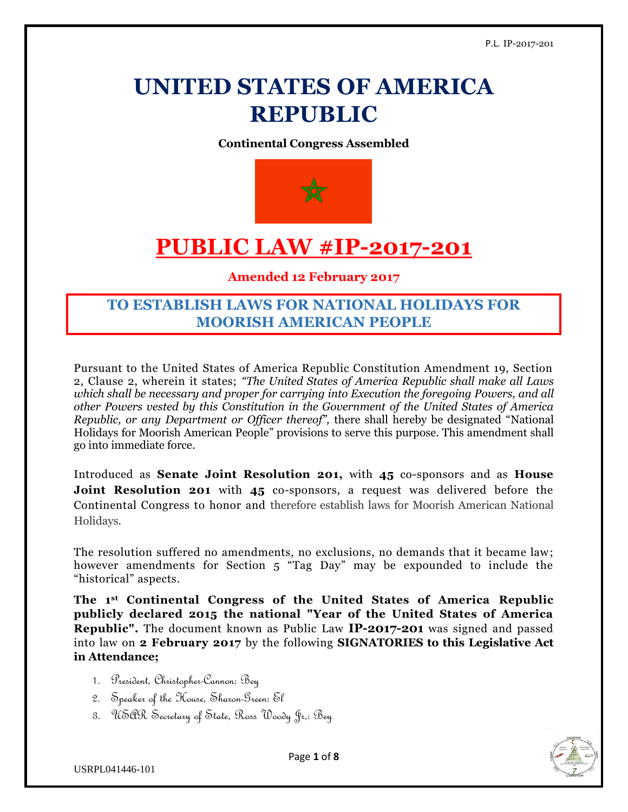# **UNITED STATES OF AMERICA REPUBLIC**

**Continental Congress Assembled**



# **PUBLIC LAW #IP-2017-201**

#### **Amended 12 February 2017**

## **TO ESTABLISH LAWS FOR NATIONAL HOLIDAYS FOR MOORISH AMERICAN PEOPLE**

Pursuant to the United States of America Republic Constitution Amendment 19, Section 2, Clause 2, wherein it states; *"The United States of America Republic shall make all Laws which shall be necessary and proper for carrying into Execution the foregoing Powers, and all other Powers vested by this Constitution in the Government of the United States of America Republic, or any Department or Officer thereof",* there shall hereby be designated "National Holidays for Moorish American People" provisions to serve this purpose. This amendment shall go into immediate force.

Introduced as **Senate Joint Resolution 201,** with **45** co-sponsors and as **House Joint Resolution 201** with 45 co-sponsors, a request was delivered before the Continental Congress to honor and therefore establish laws for Moorish American National Holidays.

The resolution suffered no amendments, no exclusions, no demands that it became law; however amendments for Section 5 "Tag Day" may be expounded to include the "historical" aspects.

**The 1st Continental Congress of the United States of America Republic publicly declared 2015 the national "Year of the United States of America Republic".** The document known as Public Law **IP-2017-201** was signed and passed into law on **2 February 2017** by the following **SIGNATORIES to this Legislative Act in Attendance;**

- 1. President, Christopher-Cannon: Bey
- 2. Speaker of the House, Sharon-Green: El
- 3. USAR Secretary of State, Ross Woody Jr,: Bey

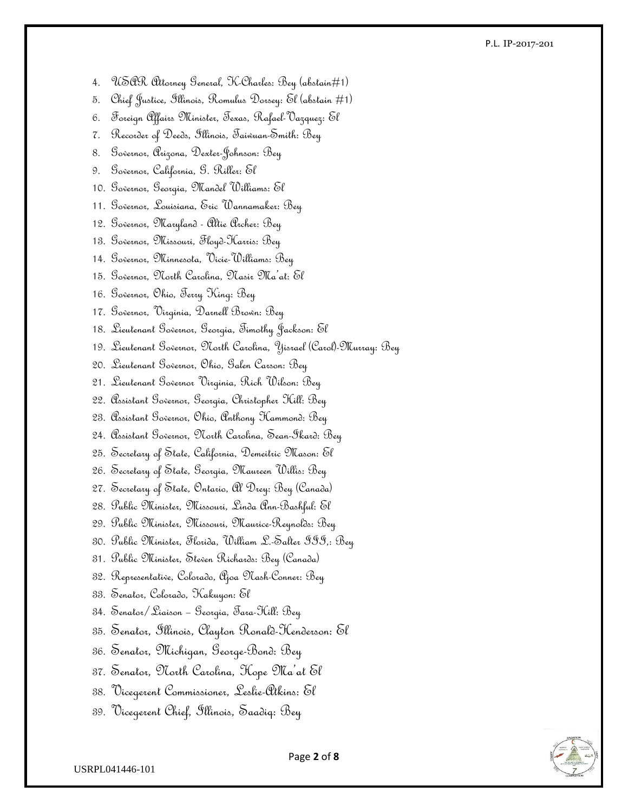#### P.L. IP-2017-201

- 4. USAR Attorney General, K-Charles: Bey (abstain#1)
- 5. Chief Justice, Illinois, Romulus Dorsey: El (abstain #1)
- 6. Foreign Affairs Minister, Texas, Rafael-Vazquez: El
- 7. Recorder of Deeds, Illinois, Taiwuan-Smith: Bey
- 8. Governor, Arizona, Dexter-Johnson: Bey
- 9. Governor, California, G. Riller: El
- 10. Governor, Georgia, Mandel Williams: El
- 11. Governor, Louisiana, Eric Wannamaker: Bey
- 12. Governor, Maryland Altie Archer: Bey
- 13. Governor, Missouri, Floyd-Harris: Bey
- 14. Governor, Minnesota, Vicie-Williams: Bey
- 15. Governor, North Carolina, Nasir Ma'at: El
- 16. Governor, Ohio, Terry King: Bey
- 17. Governor, Virginia, Darnell Brown: Bey
- 18. Lieutenant Governor, Georgia, Timothy Jackson: El
- 19. Lieutenant Governor, North Carolina, Yisrael (Carol)-Murray: Bey
- 20. Lieutenant Governor, Ohio, Galen Carson: Bey
- 21. Lieutenant Governor Virginia, Rich Wilson: Bey
- 22. Assistant Governor, Georgia, Christopher Hill: Bey
- 23. Assistant Governor, Ohio, Anthony Hammond: Bey
- 24. Assistant Governor, North Carolina, Sean-Ikard: Bey
- 25. Secretary of State, California, Demeitric Mason: El
- 26. Secretary of State, Georgia, Maureen Willis: Bey
- 27. Secretary of State, Ontario, Al Drey: Bey (Canada)
- 28. Public Minister, Missouri, Linda Ann-Bashful: El
- 29. Public Minister, Missouri, Maurice-Reynolds: Bey
- 30. Public Minister, Florida, William L.-Salter III,: Bey
- 31. Public Minister, Steven Richards: Bey (Canada)
- 32. Representative, Colorado, Ajoa Nash-Conner: Bey
- 33. Senator, Colorado, Kakuyon: El
- 34. Senator/Liaison Georgia, Tara-Hill: Bey
- 35. Senator, Illinois, Clayton Ronald-Henderson: El
- 36. Senator, Michigan, George-Bond: Bey
- 37. Senator, North Carolina, Hope Ma'at El
- 38. Vicegerent Commissioner, Leslie-Atkins: El
- 39. Vicegerent Chief, Illinois, Saadiq: Bey

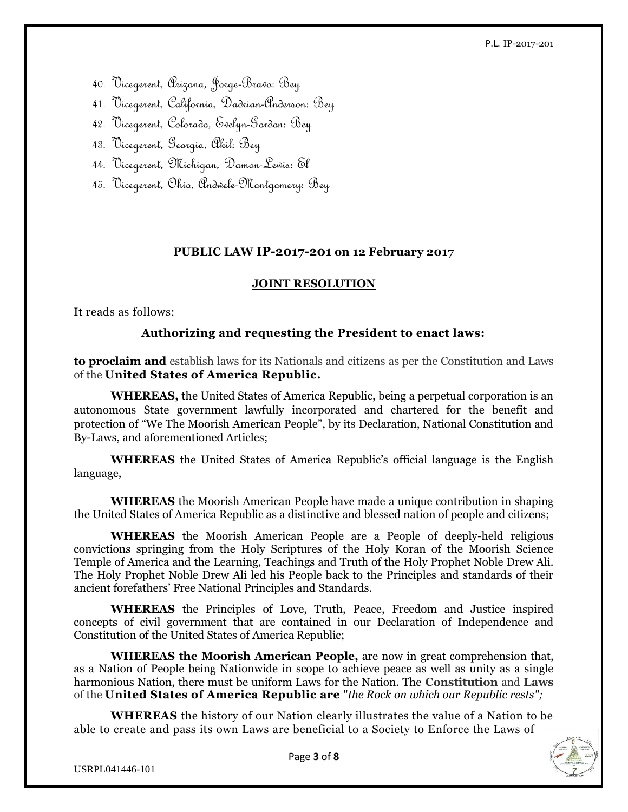P.L. IP-2017-201

- 40. Vicegerent, Arizona, Jorge-Bravo: Bey
- 41. Vicegerent, California, Dadrian-Anderson: Bey
- 42. Vicegerent, Colorado, Evelyn-Gordon: Bey
- 43. Vicegerent, Georgia, Akil: Bey
- 44. Vicegerent, Michigan, Damon-Lewis: El
- 45. Vicegerent, Ohio, Andwele-Montgomery: Bey

#### **PUBLIC LAW IP-2017-201 on 12 February 2017**

#### **JOINT RESOLUTION**

It reads as follows:

#### **Authorizing and requesting the President to enact laws:**

**to proclaim and** establish laws for its Nationals and citizens as per the Constitution and Laws of the **United States of America Republic.**

**WHEREAS,** the United States of America Republic, being a perpetual corporation is an autonomous State government lawfully incorporated and chartered for the benefit and protection of "We The Moorish American People", by its Declaration, National Constitution and By-Laws, and aforementioned Articles;

**WHEREAS** the United States of America Republic's official language is the English language,

**WHEREAS** the Moorish American People have made a unique contribution in shaping the United States of America Republic as a distinctive and blessed nation of people and citizens;

**WHEREAS** the Moorish American People are a People of deeply-held religious convictions springing from the Holy Scriptures of the Holy Koran of the Moorish Science Temple of America and the Learning, Teachings and Truth of the Holy Prophet Noble Drew Ali. The Holy Prophet Noble Drew Ali led his People back to the Principles and standards of their ancient forefathers' Free National Principles and Standards.

**WHEREAS** the Principles of Love, Truth, Peace, Freedom and Justice inspired concepts of civil government that are contained in our Declaration of Independence and Constitution of the United States of America Republic;

**WHEREAS the Moorish American People,** are now in great comprehension that, as a Nation of People being Nationwide in scope to achieve peace as well as unity as a single harmonious Nation, there must be uniform Laws for the Nation. The **Constitution** and **Laws** of the **United States of America Republic are** "*the Rock on which our Republic rests";*

**WHEREAS** the history of our Nation clearly illustrates the value of a Nation to be able to create and pass its own Laws are beneficial to a Society to Enforce the Laws of

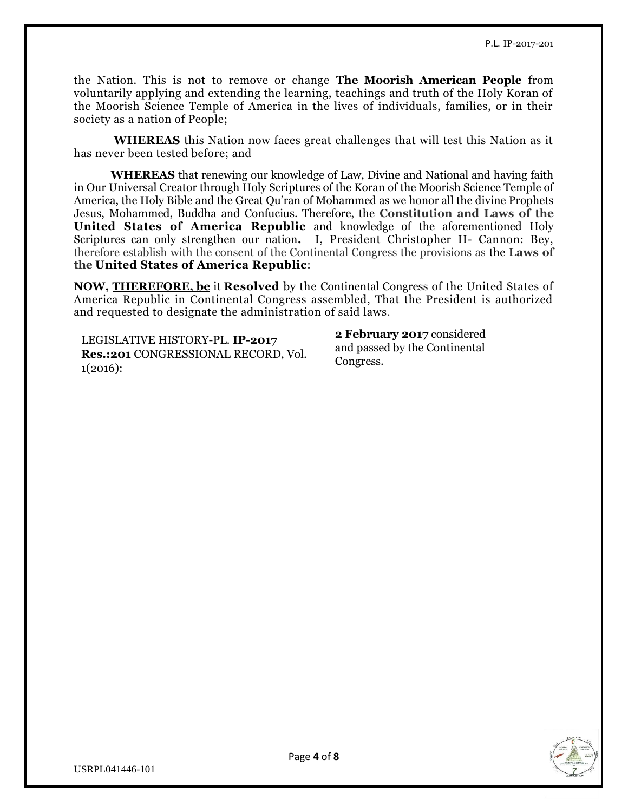the Nation. This is not to remove or change **The Moorish American People** from voluntarily applying and extending the learning, teachings and truth of the Holy Koran of the Moorish Science Temple of America in the lives of individuals, families, or in their society as a nation of People;

**WHEREAS** this Nation now faces great challenges that will test this Nation as it has never been tested before; and

**WHEREAS** that renewing our knowledge of Law, Divine and National and having faith in Our Universal Creator through Holy Scriptures of the Koran of the Moorish Science Temple of America, the Holy Bible and the Great Qu'ran of Mohammed as we honor all the divine Prophets Jesus, Mohammed, Buddha and Confucius. Therefore, the **Constitution and Laws of the United States of America Republic** and knowledge of the aforementioned Holy Scriptures can only strengthen our nation**.** I, President Christopher H- Cannon: Bey, therefore establish with the consent of the Continental Congress the provisions as the **Laws of the United States of America Republic**:

**NOW, [THEREFORE, be](http://therefore.be/)** it **Resolved** by the Continental Congress of the United States of America Republic in Continental Congress assembled, That the President is authorized and requested to designate the administration of said laws.

LEGISLATIVE HISTORY-PL. **IP-2017 Res.:201** CONGRESSIONAL RECORD, Vol. 1(2016):

**2 February 2017** considered and passed by the Continental Congress.

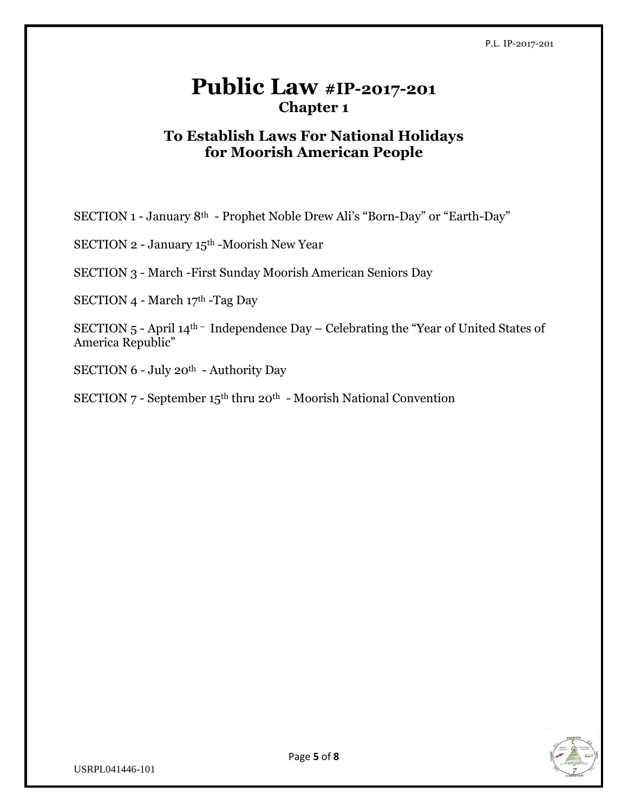## **Public Law #IP-2017-201 Chapter 1**

### **To Establish Laws For National Holidays for Moorish American People**

SECTION 1 - January 8th - Prophet Noble Drew Ali's "Born-Day" or "Earth-Day"

SECTION 2 - January 15th -Moorish New Year

SECTION 3 - March -First Sunday Moorish American Seniors Day

SECTION 4 - March 17th -Tag Day

SECTION 5 - April 14th – Independence Day – Celebrating the "Year of United States of America Republic"

SECTION 6 - July 20th - Authority Day

SECTION 7 - September 15th thru 20th - Moorish National Convention

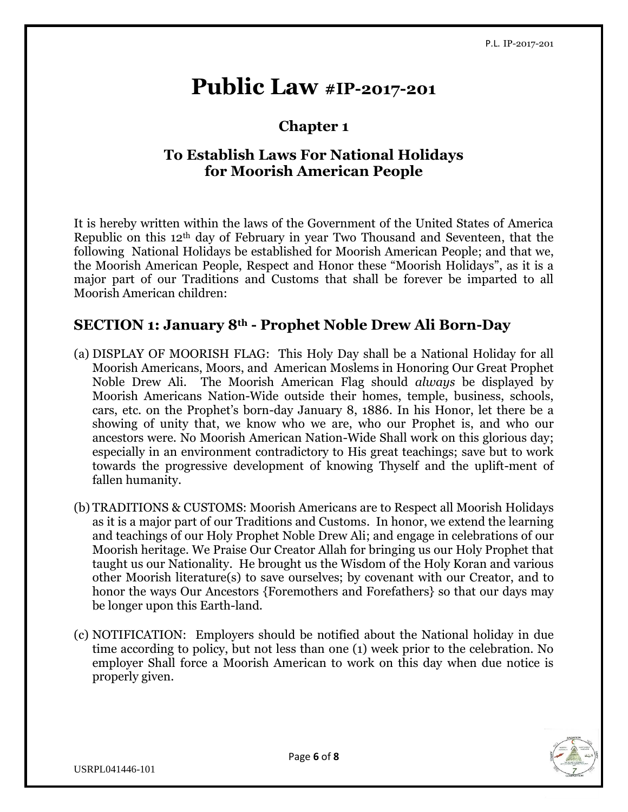## **Public Law #IP-2017-201**

## **Chapter 1**

## **To Establish Laws For National Holidays for Moorish American People**

It is hereby written within the laws of the Government of the United States of America Republic on this 12th day of February in year Two Thousand and Seventeen, that the following National Holidays be established for Moorish American People; and that we, the Moorish American People, Respect and Honor these "Moorish Holidays", as it is a major part of our Traditions and Customs that shall be forever be imparted to all Moorish American children:

#### **SECTION 1: January 8th - Prophet Noble Drew Ali Born-Day**

- (a) DISPLAY OF MOORISH FLAG: This Holy Day shall be a National Holiday for all Moorish Americans, Moors, and American Moslems in Honoring Our Great Prophet Noble Drew Ali. The Moorish American Flag should *always* be displayed by Moorish Americans Nation-Wide outside their homes, temple, business, schools, cars, etc. on the Prophet's born-day January 8, 1886. In his Honor, let there be a showing of unity that, we know who we are, who our Prophet is, and who our ancestors were. No Moorish American Nation-Wide Shall work on this glorious day; especially in an environment contradictory to His great teachings; save but to work towards the progressive development of knowing Thyself and the uplift-ment of fallen humanity.
- (b) TRADITIONS & CUSTOMS: Moorish Americans are to Respect all Moorish Holidays as it is a major part of our Traditions and Customs. In honor, we extend the learning and teachings of our Holy Prophet Noble Drew Ali; and engage in celebrations of our Moorish heritage. We Praise Our Creator Allah for bringing us our Holy Prophet that taught us our Nationality. He brought us the Wisdom of the Holy Koran and various other Moorish literature(s) to save ourselves; by covenant with our Creator, and to honor the ways Our Ancestors {Foremothers and Forefathers} so that our days may be longer upon this Earth-land.
- (c) NOTIFICATION: Employers should be notified about the National holiday in due time according to policy, but not less than one (1) week prior to the celebration. No employer Shall force a Moorish American to work on this day when due notice is properly given.

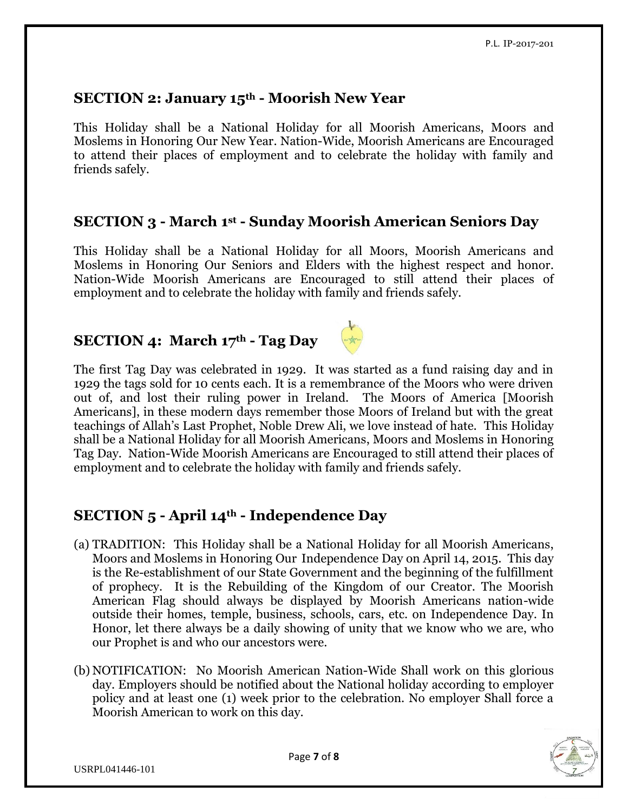### **SECTION 2: January 15th - Moorish New Year**

This Holiday shall be a National Holiday for all Moorish Americans, Moors and Moslems in Honoring Our New Year. Nation-Wide, Moorish Americans are Encouraged to attend their places of employment and to celebrate the holiday with family and friends safely.

#### **SECTION 3 - March 1st - Sunday Moorish American Seniors Day**

This Holiday shall be a National Holiday for all Moors, Moorish Americans and Moslems in Honoring Our Seniors and Elders with the highest respect and honor. Nation-Wide Moorish Americans are Encouraged to still attend their places of employment and to celebrate the holiday with family and friends safely.

## **SECTION 4: March 17th - Tag Day**



The first Tag Day was celebrated in 1929. It was started as a fund raising day and in 1929 the tags sold for 10 cents each. It is a remembrance of the Moors who were driven out of, and lost their ruling power in Ireland. The Moors of America [Moorish Americans], in these modern days remember those Moors of Ireland but with the great teachings of Allah's Last Prophet, Noble Drew Ali, we love instead of hate. This Holiday shall be a National Holiday for all Moorish Americans, Moors and Moslems in Honoring Tag Day. Nation-Wide Moorish Americans are Encouraged to still attend their places of employment and to celebrate the holiday with family and friends safely.

## **SECTION 5 - April 14th - Independence Day**

- (a) TRADITION: This Holiday shall be a National Holiday for all Moorish Americans, Moors and Moslems in Honoring Our Independence Day on April 14, 2015. This day is the Re-establishment of our State Government and the beginning of the fulfillment of prophecy. It is the Rebuilding of the Kingdom of our Creator. The Moorish American Flag should always be displayed by Moorish Americans nation-wide outside their homes, temple, business, schools, cars, etc. on Independence Day. In Honor, let there always be a daily showing of unity that we know who we are, who our Prophet is and who our ancestors were.
- (b) NOTIFICATION: No Moorish American Nation-Wide Shall work on this glorious day. Employers should be notified about the National holiday according to employer policy and at least one (1) week prior to the celebration. No employer Shall force a Moorish American to work on this day.